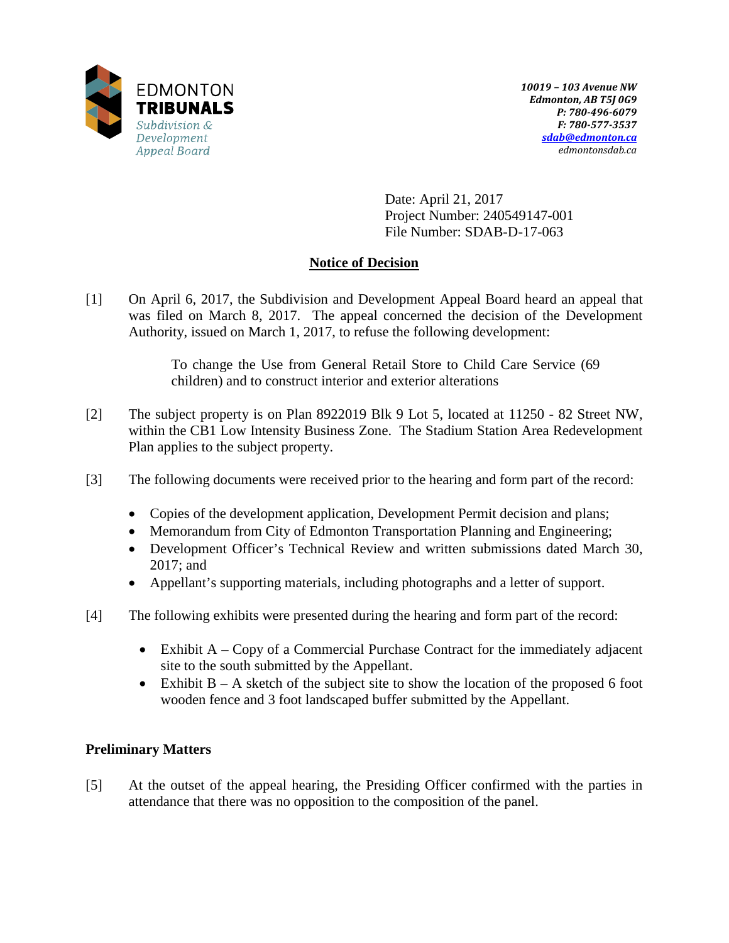

Date: April 21, 2017 Project Number: 240549147-001 File Number: SDAB-D-17-063

# **Notice of Decision**

[1] On April 6, 2017, the Subdivision and Development Appeal Board heard an appeal that was filed on March 8, 2017. The appeal concerned the decision of the Development Authority, issued on March 1, 2017, to refuse the following development:

> To change the Use from General Retail Store to Child Care Service (69 children) and to construct interior and exterior alterations

- [2] The subject property is on Plan 8922019 Blk 9 Lot 5, located at 11250 82 Street NW, within the CB1 Low Intensity Business Zone. The Stadium Station Area Redevelopment Plan applies to the subject property.
- [3] The following documents were received prior to the hearing and form part of the record:
	- Copies of the development application, Development Permit decision and plans;
	- Memorandum from City of Edmonton Transportation Planning and Engineering;
	- Development Officer's Technical Review and written submissions dated March 30, 2017; and
	- Appellant's supporting materials, including photographs and a letter of support.
- [4] The following exhibits were presented during the hearing and form part of the record:
	- Exhibit A Copy of a Commercial Purchase Contract for the immediately adjacent site to the south submitted by the Appellant.
	- Exhibit  $B A$  sketch of the subject site to show the location of the proposed 6 foot wooden fence and 3 foot landscaped buffer submitted by the Appellant.

# **Preliminary Matters**

[5] At the outset of the appeal hearing, the Presiding Officer confirmed with the parties in attendance that there was no opposition to the composition of the panel.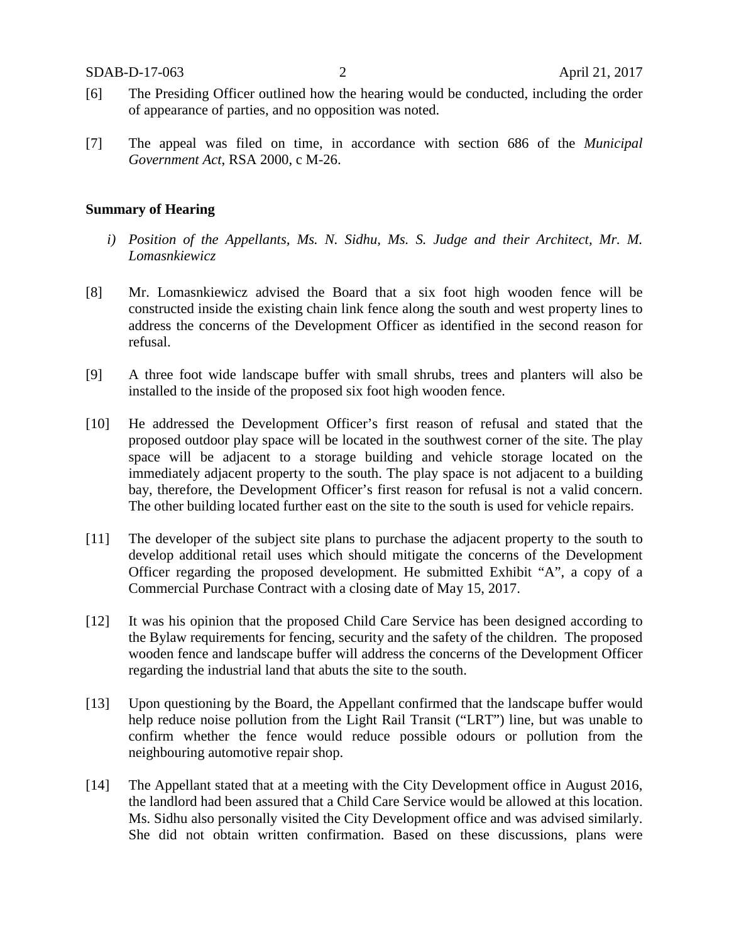- [6] The Presiding Officer outlined how the hearing would be conducted, including the order of appearance of parties, and no opposition was noted.
- [7] The appeal was filed on time, in accordance with section 686 of the *Municipal Government Act*, RSA 2000, c M-26.

#### **Summary of Hearing**

- *i) Position of the Appellants, Ms. N. Sidhu, Ms. S. Judge and their Architect, Mr. M. Lomasnkiewicz*
- [8] Mr. Lomasnkiewicz advised the Board that a six foot high wooden fence will be constructed inside the existing chain link fence along the south and west property lines to address the concerns of the Development Officer as identified in the second reason for refusal.
- [9] A three foot wide landscape buffer with small shrubs, trees and planters will also be installed to the inside of the proposed six foot high wooden fence.
- [10] He addressed the Development Officer's first reason of refusal and stated that the proposed outdoor play space will be located in the southwest corner of the site. The play space will be adjacent to a storage building and vehicle storage located on the immediately adjacent property to the south. The play space is not adjacent to a building bay, therefore, the Development Officer's first reason for refusal is not a valid concern. The other building located further east on the site to the south is used for vehicle repairs.
- [11] The developer of the subject site plans to purchase the adjacent property to the south to develop additional retail uses which should mitigate the concerns of the Development Officer regarding the proposed development. He submitted Exhibit "A", a copy of a Commercial Purchase Contract with a closing date of May 15, 2017.
- [12] It was his opinion that the proposed Child Care Service has been designed according to the Bylaw requirements for fencing, security and the safety of the children. The proposed wooden fence and landscape buffer will address the concerns of the Development Officer regarding the industrial land that abuts the site to the south.
- [13] Upon questioning by the Board, the Appellant confirmed that the landscape buffer would help reduce noise pollution from the Light Rail Transit ("LRT") line, but was unable to confirm whether the fence would reduce possible odours or pollution from the neighbouring automotive repair shop.
- [14] The Appellant stated that at a meeting with the City Development office in August 2016, the landlord had been assured that a Child Care Service would be allowed at this location. Ms. Sidhu also personally visited the City Development office and was advised similarly. She did not obtain written confirmation. Based on these discussions, plans were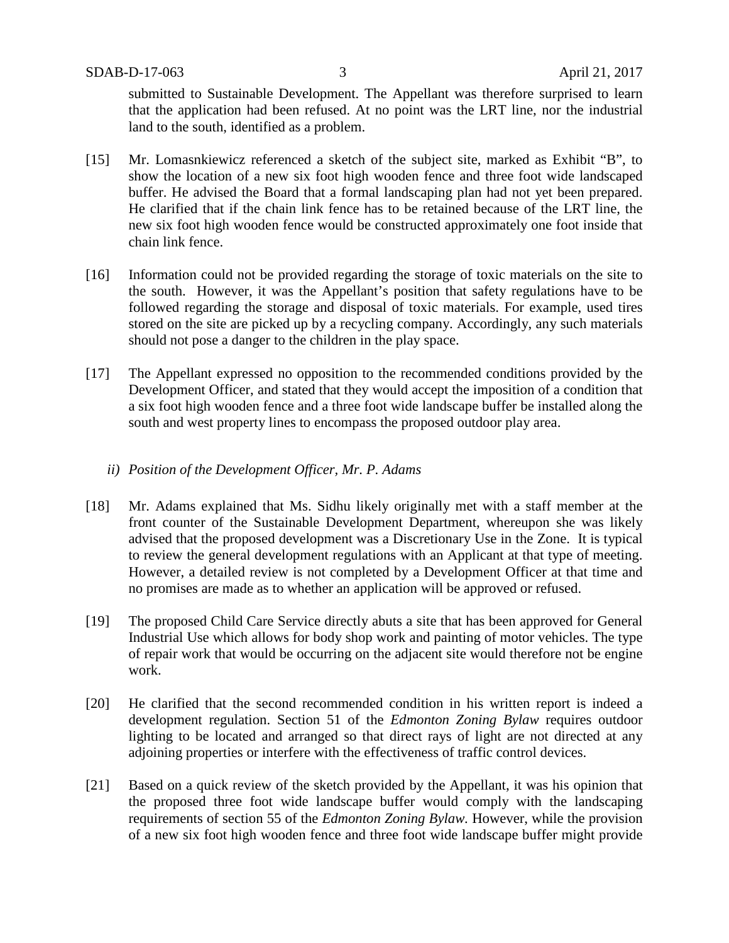submitted to Sustainable Development. The Appellant was therefore surprised to learn that the application had been refused. At no point was the LRT line, nor the industrial land to the south, identified as a problem.

- [15] Mr. Lomasnkiewicz referenced a sketch of the subject site, marked as Exhibit "B", to show the location of a new six foot high wooden fence and three foot wide landscaped buffer. He advised the Board that a formal landscaping plan had not yet been prepared. He clarified that if the chain link fence has to be retained because of the LRT line, the new six foot high wooden fence would be constructed approximately one foot inside that chain link fence.
- [16] Information could not be provided regarding the storage of toxic materials on the site to the south. However, it was the Appellant's position that safety regulations have to be followed regarding the storage and disposal of toxic materials. For example, used tires stored on the site are picked up by a recycling company. Accordingly, any such materials should not pose a danger to the children in the play space.
- [17] The Appellant expressed no opposition to the recommended conditions provided by the Development Officer, and stated that they would accept the imposition of a condition that a six foot high wooden fence and a three foot wide landscape buffer be installed along the south and west property lines to encompass the proposed outdoor play area.

#### *ii) Position of the Development Officer, Mr. P. Adams*

- [18] Mr. Adams explained that Ms. Sidhu likely originally met with a staff member at the front counter of the Sustainable Development Department, whereupon she was likely advised that the proposed development was a Discretionary Use in the Zone. It is typical to review the general development regulations with an Applicant at that type of meeting. However, a detailed review is not completed by a Development Officer at that time and no promises are made as to whether an application will be approved or refused.
- [19] The proposed Child Care Service directly abuts a site that has been approved for General Industrial Use which allows for body shop work and painting of motor vehicles. The type of repair work that would be occurring on the adjacent site would therefore not be engine work.
- [20] He clarified that the second recommended condition in his written report is indeed a development regulation. Section 51 of the *Edmonton Zoning Bylaw* requires outdoor lighting to be located and arranged so that direct rays of light are not directed at any adjoining properties or interfere with the effectiveness of traffic control devices.
- [21] Based on a quick review of the sketch provided by the Appellant, it was his opinion that the proposed three foot wide landscape buffer would comply with the landscaping requirements of section 55 of the *Edmonton Zoning Bylaw.* However, while the provision of a new six foot high wooden fence and three foot wide landscape buffer might provide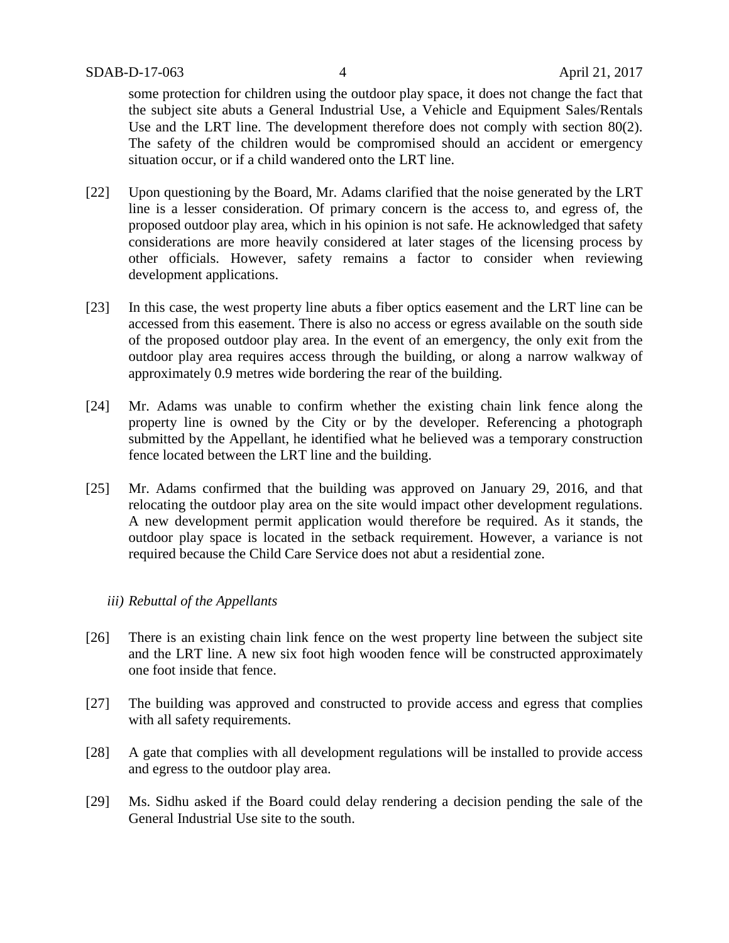some protection for children using the outdoor play space, it does not change the fact that the subject site abuts a General Industrial Use, a Vehicle and Equipment Sales/Rentals Use and the LRT line. The development therefore does not comply with section 80(2). The safety of the children would be compromised should an accident or emergency situation occur, or if a child wandered onto the LRT line.

- [22] Upon questioning by the Board, Mr. Adams clarified that the noise generated by the LRT line is a lesser consideration. Of primary concern is the access to, and egress of, the proposed outdoor play area, which in his opinion is not safe. He acknowledged that safety considerations are more heavily considered at later stages of the licensing process by other officials. However, safety remains a factor to consider when reviewing development applications.
- [23] In this case, the west property line abuts a fiber optics easement and the LRT line can be accessed from this easement. There is also no access or egress available on the south side of the proposed outdoor play area. In the event of an emergency, the only exit from the outdoor play area requires access through the building, or along a narrow walkway of approximately 0.9 metres wide bordering the rear of the building.
- [24] Mr. Adams was unable to confirm whether the existing chain link fence along the property line is owned by the City or by the developer. Referencing a photograph submitted by the Appellant, he identified what he believed was a temporary construction fence located between the LRT line and the building.
- [25] Mr. Adams confirmed that the building was approved on January 29, 2016, and that relocating the outdoor play area on the site would impact other development regulations. A new development permit application would therefore be required. As it stands, the outdoor play space is located in the setback requirement. However, a variance is not required because the Child Care Service does not abut a residential zone.

# *iii) Rebuttal of the Appellants*

- [26] There is an existing chain link fence on the west property line between the subject site and the LRT line. A new six foot high wooden fence will be constructed approximately one foot inside that fence.
- [27] The building was approved and constructed to provide access and egress that complies with all safety requirements.
- [28] A gate that complies with all development regulations will be installed to provide access and egress to the outdoor play area.
- [29] Ms. Sidhu asked if the Board could delay rendering a decision pending the sale of the General Industrial Use site to the south.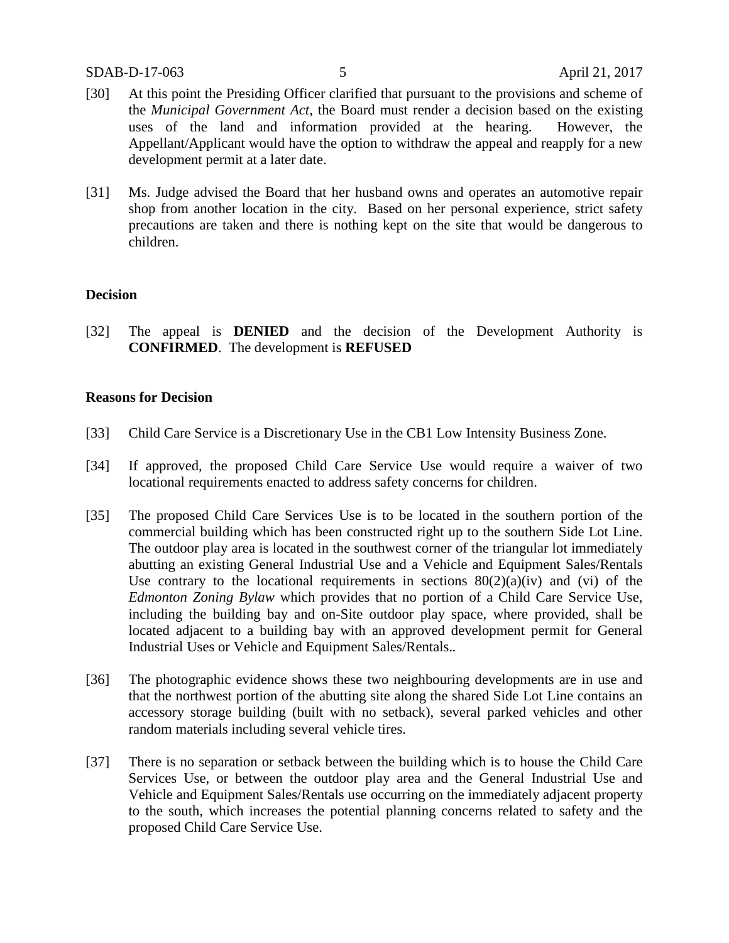- [30] At this point the Presiding Officer clarified that pursuant to the provisions and scheme of the *Municipal Government Act*, the Board must render a decision based on the existing uses of the land and information provided at the hearing. However, the Appellant/Applicant would have the option to withdraw the appeal and reapply for a new development permit at a later date.
- [31] Ms. Judge advised the Board that her husband owns and operates an automotive repair shop from another location in the city. Based on her personal experience, strict safety precautions are taken and there is nothing kept on the site that would be dangerous to children.

## **Decision**

[32] The appeal is **DENIED** and the decision of the Development Authority is **CONFIRMED**. The development is **REFUSED**

## **Reasons for Decision**

- [33] Child Care Service is a Discretionary Use in the CB1 Low Intensity Business Zone.
- [34] If approved, the proposed Child Care Service Use would require a waiver of two locational requirements enacted to address safety concerns for children.
- [35] The proposed Child Care Services Use is to be located in the southern portion of the commercial building which has been constructed right up to the southern Side Lot Line. The outdoor play area is located in the southwest corner of the triangular lot immediately abutting an existing General Industrial Use and a Vehicle and Equipment Sales/Rentals Use contrary to the locational requirements in sections  $80(2)(a)(iv)$  and (vi) of the *Edmonton Zoning Bylaw* which provides that no portion of a Child Care Service Use, including the building bay and on-Site outdoor play space, where provided, shall be located adjacent to a building bay with an approved development permit for General Industrial Uses or Vehicle and Equipment Sales/Rentals.*.*
- [36] The photographic evidence shows these two neighbouring developments are in use and that the northwest portion of the abutting site along the shared Side Lot Line contains an accessory storage building (built with no setback), several parked vehicles and other random materials including several vehicle tires.
- [37] There is no separation or setback between the building which is to house the Child Care Services Use, or between the outdoor play area and the General Industrial Use and Vehicle and Equipment Sales/Rentals use occurring on the immediately adjacent property to the south, which increases the potential planning concerns related to safety and the proposed Child Care Service Use.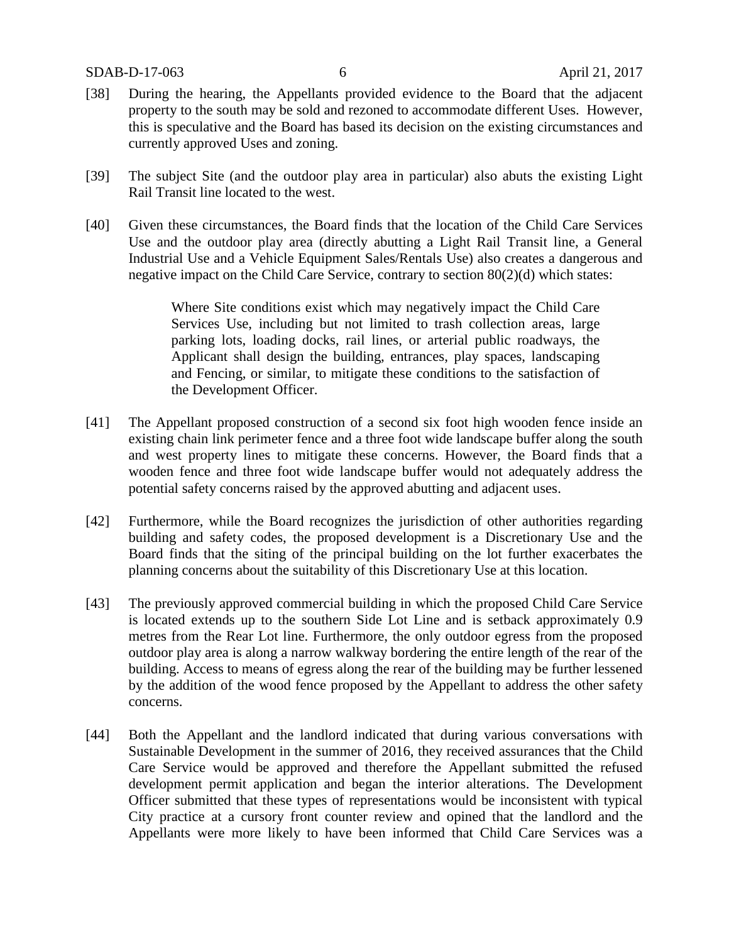- [38] During the hearing, the Appellants provided evidence to the Board that the adjacent property to the south may be sold and rezoned to accommodate different Uses. However, this is speculative and the Board has based its decision on the existing circumstances and currently approved Uses and zoning.
- [39] The subject Site (and the outdoor play area in particular) also abuts the existing Light Rail Transit line located to the west.
- [40] Given these circumstances, the Board finds that the location of the Child Care Services Use and the outdoor play area (directly abutting a Light Rail Transit line, a General Industrial Use and a Vehicle Equipment Sales/Rentals Use) also creates a dangerous and negative impact on the Child Care Service, contrary to section 80(2)(d) which states:

Where Site conditions exist which may negatively impact the Child Care Services Use, including but not limited to trash collection areas, large parking lots, loading docks, rail lines, or arterial public roadways, the Applicant shall design the building, entrances, play spaces, landscaping and Fencing, or similar, to mitigate these conditions to the satisfaction of the Development Officer.

- [41] The Appellant proposed construction of a second six foot high wooden fence inside an existing chain link perimeter fence and a three foot wide landscape buffer along the south and west property lines to mitigate these concerns. However, the Board finds that a wooden fence and three foot wide landscape buffer would not adequately address the potential safety concerns raised by the approved abutting and adjacent uses.
- [42] Furthermore, while the Board recognizes the jurisdiction of other authorities regarding building and safety codes, the proposed development is a Discretionary Use and the Board finds that the siting of the principal building on the lot further exacerbates the planning concerns about the suitability of this Discretionary Use at this location.
- [43] The previously approved commercial building in which the proposed Child Care Service is located extends up to the southern Side Lot Line and is setback approximately 0.9 metres from the Rear Lot line. Furthermore, the only outdoor egress from the proposed outdoor play area is along a narrow walkway bordering the entire length of the rear of the building. Access to means of egress along the rear of the building may be further lessened by the addition of the wood fence proposed by the Appellant to address the other safety concerns.
- [44] Both the Appellant and the landlord indicated that during various conversations with Sustainable Development in the summer of 2016, they received assurances that the Child Care Service would be approved and therefore the Appellant submitted the refused development permit application and began the interior alterations. The Development Officer submitted that these types of representations would be inconsistent with typical City practice at a cursory front counter review and opined that the landlord and the Appellants were more likely to have been informed that Child Care Services was a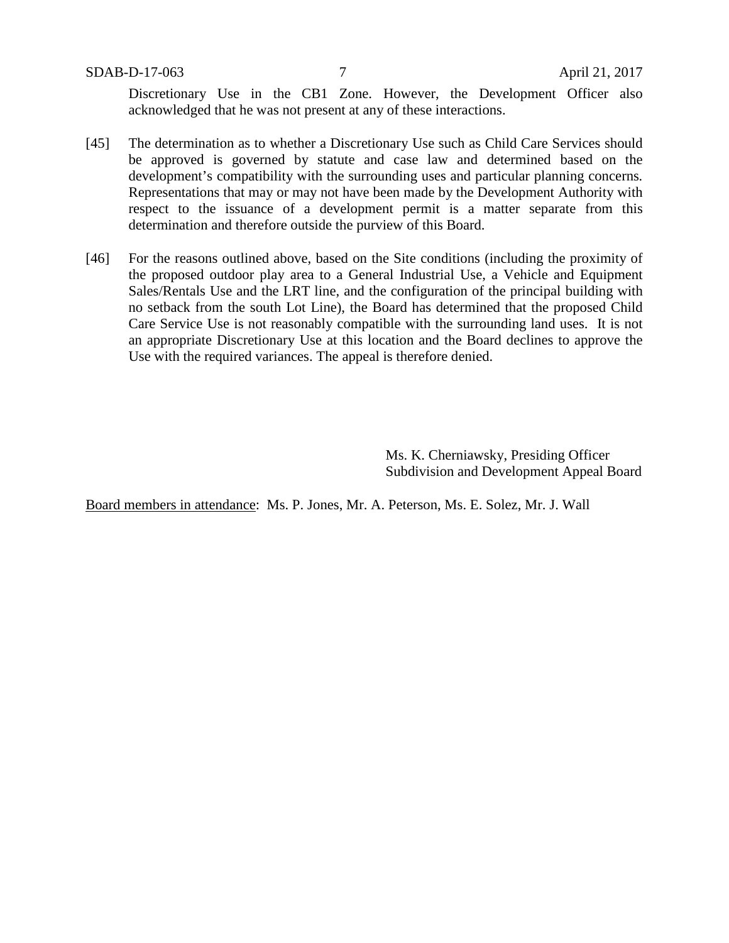Discretionary Use in the CB1 Zone. However, the Development Officer also acknowledged that he was not present at any of these interactions.

- [45] The determination as to whether a Discretionary Use such as Child Care Services should be approved is governed by statute and case law and determined based on the development's compatibility with the surrounding uses and particular planning concerns*.* Representations that may or may not have been made by the Development Authority with respect to the issuance of a development permit is a matter separate from this determination and therefore outside the purview of this Board.
- [46] For the reasons outlined above, based on the Site conditions (including the proximity of the proposed outdoor play area to a General Industrial Use, a Vehicle and Equipment Sales/Rentals Use and the LRT line, and the configuration of the principal building with no setback from the south Lot Line), the Board has determined that the proposed Child Care Service Use is not reasonably compatible with the surrounding land uses. It is not an appropriate Discretionary Use at this location and the Board declines to approve the Use with the required variances. The appeal is therefore denied.

Ms. K. Cherniawsky, Presiding Officer Subdivision and Development Appeal Board

Board members in attendance: Ms. P. Jones, Mr. A. Peterson, Ms. E. Solez, Mr. J. Wall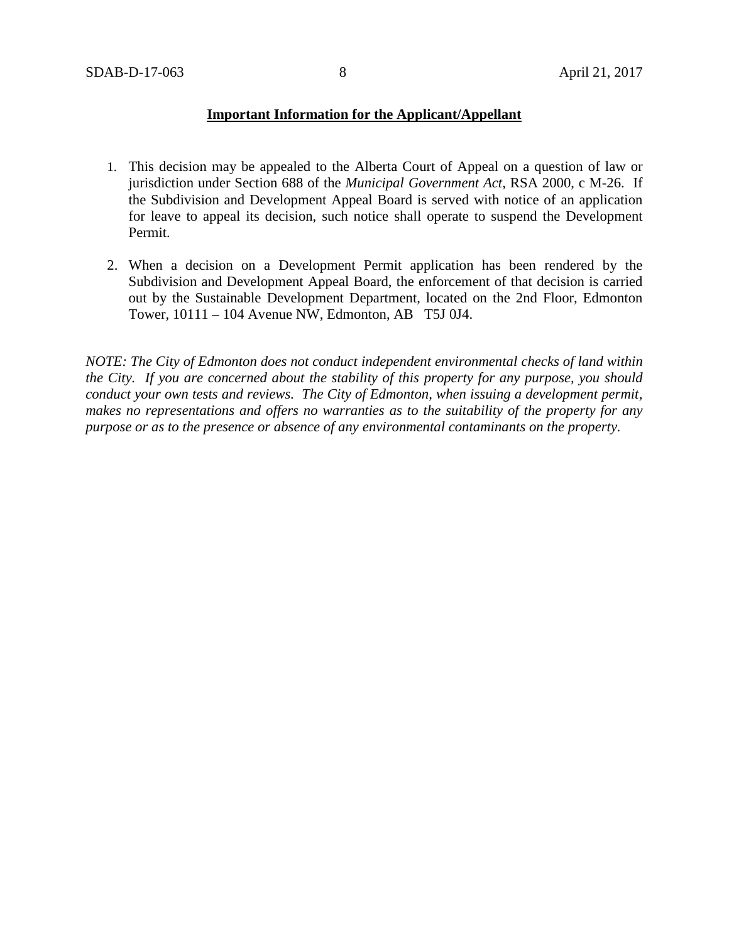## **Important Information for the Applicant/Appellant**

- 1. This decision may be appealed to the Alberta Court of Appeal on a question of law or jurisdiction under Section 688 of the *Municipal Government Act*, RSA 2000, c M-26. If the Subdivision and Development Appeal Board is served with notice of an application for leave to appeal its decision, such notice shall operate to suspend the Development Permit.
- 2. When a decision on a Development Permit application has been rendered by the Subdivision and Development Appeal Board, the enforcement of that decision is carried out by the Sustainable Development Department, located on the 2nd Floor, Edmonton Tower, 10111 – 104 Avenue NW, Edmonton, AB T5J 0J4.

*NOTE: The City of Edmonton does not conduct independent environmental checks of land within the City. If you are concerned about the stability of this property for any purpose, you should conduct your own tests and reviews. The City of Edmonton, when issuing a development permit, makes no representations and offers no warranties as to the suitability of the property for any purpose or as to the presence or absence of any environmental contaminants on the property.*